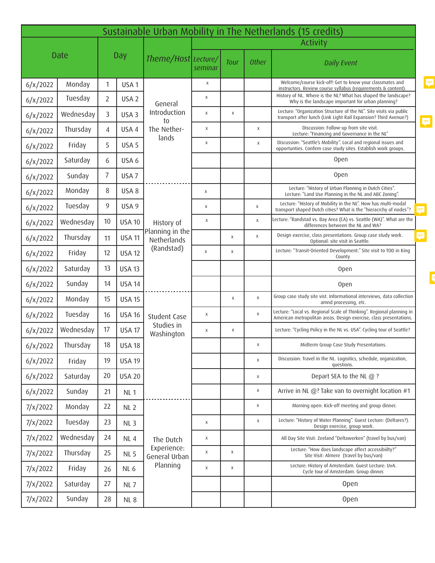| Sustainable Urban Mobility in The Netherlands (15 credits) |           |                |                  |                                                            |                 |             |              |                                                                                                                                             |        |  |
|------------------------------------------------------------|-----------|----------------|------------------|------------------------------------------------------------|-----------------|-------------|--------------|---------------------------------------------------------------------------------------------------------------------------------------------|--------|--|
|                                                            |           |                |                  | Theme/Host Lecture/                                        | <b>Activity</b> |             |              |                                                                                                                                             |        |  |
| <b>Date</b>                                                |           | <b>Day</b>     |                  |                                                            | seminar         | <b>Tour</b> | <b>Other</b> | <b>Daily Event</b>                                                                                                                          |        |  |
| 6/x/2022                                                   | Monday    | $\mathbf{1}$   | USA <sub>1</sub> | General<br>Introduction<br>to<br>The Nether-<br>lands      | X               |             |              | Welcome/course kick-off! Get to know your classmates and<br>instructors. Review course syllabus (requirements & content).                   | 見      |  |
| 6/x/2022                                                   | Tuesday   | $\overline{2}$ | USA <sub>2</sub> |                                                            | X               |             |              | History of NL. Where is the NL? What has shaped the landscape?<br>Why is the landscape important for urban planning?                        |        |  |
| 6/x/2022                                                   | Wednesday | 3              | USA <sub>3</sub> |                                                            | X               | $\mathsf X$ |              | Lecture: "Organization Structure of the NL". Site visits via public<br>transport after lunch (Link Light Rail Expansion? Third Avenue?)     |        |  |
| 6/x/2022                                                   | Thursday  | $\overline{4}$ | USA 4            |                                                            | X               |             | X            | Discussion: Follow-up from site visit.<br>Lecture: "Financing and Governance in the NL"                                                     | F.     |  |
| 6/x/2022                                                   | Friday    | 5              | USA <sub>5</sub> |                                                            | X               |             | X            | Discussion: "Seattle's Mobility". Local and regional issues and<br>opportunties. Confirm case study sites. Establish work groups.           |        |  |
| 6/x/2022                                                   | Saturday  | 6              | USA 6            |                                                            |                 |             |              | <b>Open</b>                                                                                                                                 |        |  |
| 6/x/2022                                                   | Sunday    | 7              | USA <sub>7</sub> |                                                            |                 |             |              | <b>Open</b>                                                                                                                                 |        |  |
| 6/x/2022                                                   | Monday    | 8              | USA 8            | History of<br>Planning in the<br>Netherlands<br>(Randstad) | X               |             |              | Lecture: "History of Urban Planning in Dutch Cities".<br>Lecture: "Land Use Planning in the NL and ABC Zoning".                             |        |  |
| 6/x/2022                                                   | Tuesday   | 9              | USA 9            |                                                            | Х               |             | X            | Lecture: "History of Mobility in the NL". How has multi-modal<br>transport shaped Dutch cities? What is the "hieracrchy of nodes"?          |        |  |
| 6/x/2022                                                   | Wednesday | 10             | <b>USA 10</b>    |                                                            | X               |             | X            | Lecture: "Randstad vs. Bay Area (CA) vs. Seattle (WA)". What are the<br>differences between the NL and WA?                                  |        |  |
| 6/x/2022                                                   | Thursday  | 11             | <b>USA 11</b>    |                                                            |                 | X           | $\mathsf{X}$ | Design exercise, class presentations. Group case study work.<br>Optional: site visit in Seattle.                                            | =<br>И |  |
| 6/x/2022                                                   | Friday    | 12             | <b>USA 12</b>    |                                                            | $\mathsf X$     | X           |              | Lecture: "Transit-Oriented Development." Site visit to TOD in King<br>County                                                                |        |  |
| 6/x/2022                                                   | Saturday  | 13             | <b>USA 13</b>    |                                                            |                 |             |              | Open                                                                                                                                        |        |  |
| 6/x/2022                                                   | Sunday    | 14             | <b>USA 14</b>    |                                                            |                 |             |              | <b>Open</b>                                                                                                                                 | ľ      |  |
| 6/x/2022                                                   | Monday    | 15             | <b>USA 15</b>    | Student Case<br>Studies in<br>Washington                   |                 | $\mathsf X$ | X            | Group case study site vist. Informational interviews, data collection<br>amnd processing, etc.                                              |        |  |
| 6/x/2022                                                   | Tuesday   | 16             | <b>USA 16</b>    |                                                            | Χ               |             | X            | Lecture: "Local vs. Regional Scale of Thinking". Regional planning in<br>American metropolitan areas. Design exercise, class presentations. |        |  |
| 6/x/2022                                                   | Wednesday | 17             | <b>USA 17</b>    |                                                            | X               | X           |              | Lecture: "Cycling Policy in the NL vs. USA". Cycling tour of Seattle?                                                                       |        |  |
| 6/x/2022                                                   | Thursday  | 18             | <b>USA 18</b>    |                                                            |                 |             | х            | Midterm Group Case Study Presentations.                                                                                                     |        |  |
| 6/x/2022                                                   | Friday    | 19             | <b>USA 19</b>    |                                                            |                 |             | X            | Discussion: Travel in the NL. Logisitics, schedule, organization,<br>questions.                                                             |        |  |
| 6/x/2022                                                   | Saturday  | 20             | <b>USA 20</b>    |                                                            |                 |             | X            | Depart SEA to the NL @ ?                                                                                                                    |        |  |
| 6/x/2022                                                   | Sunday    | 21             | NL <sub>1</sub>  |                                                            |                 |             | X            | Arrive in NL @? Take van to overnight location #1                                                                                           |        |  |
| 7/x/2022                                                   | Monday    | 22             | NL <sub>2</sub>  | The Dutch<br>Experience:<br>General Urban<br>Planning      |                 |             | X            | Morning open: Kick-off meeting and group dinner.                                                                                            |        |  |
| 7/x/2022                                                   | Tuesday   | 23             | NL <sub>3</sub>  |                                                            | X               |             | X            | Lecture: "History of Water Planning". Guest Lecture: (Deltares?).<br>Design exercise, group work.                                           |        |  |
| 7/x/2022                                                   | Wednesday | 24             | NL4              |                                                            | Χ               |             |              | All Day Site Visit: Zeeland "Deltawerken" (travel by bus/van)                                                                               |        |  |
| 7/x/2022                                                   | Thursday  | 25             | <b>NL 5</b>      |                                                            | $\mathsf X$     | X           |              | Lecture: "How does landscape affect accessibiilty?"<br>Site Visit: Almere (travel by bus/van)                                               |        |  |
| 7/x/2022                                                   | Friday    | 26             | NL <sub>6</sub>  |                                                            | X               | X           |              | Lecture: History of Amsterdam. Guest Lecture: UvA.<br>Cycle tour of Amsterdam. Group dinner.                                                |        |  |
| 7/x/2022                                                   | Saturday  | 27             | <b>NL7</b>       |                                                            |                 |             |              | <b>Open</b>                                                                                                                                 |        |  |
| 7/x/2022                                                   | Sunday    | 28             | NL8              |                                                            |                 |             |              | Open                                                                                                                                        |        |  |